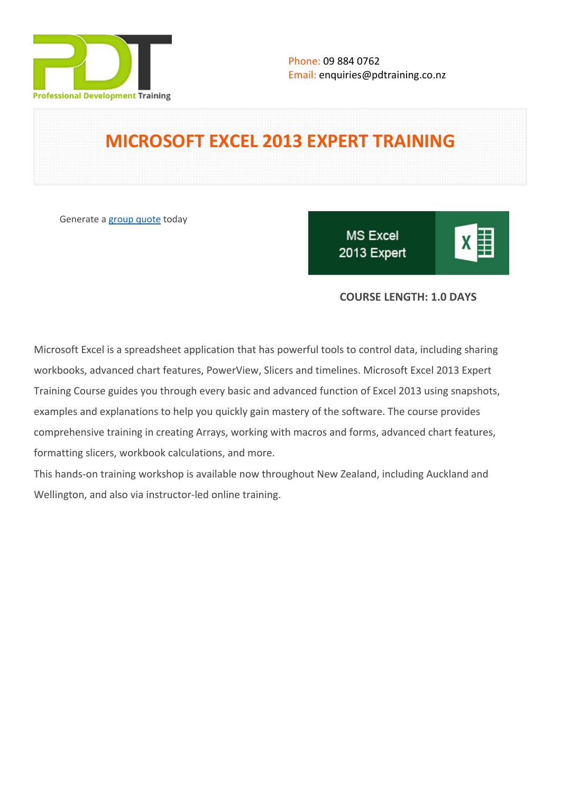

# **MICROSOFT EXCEL 2013 EXPERT TRAINING**

Generate a [group quote](https://pdtraining.co.nz/inhouse-training-quote?cse=PDT988CTM) today

**MS Excel** 2013 Expert

|--|

# **COURSE LENGTH: 1.0 DAYS**

Microsoft Excel is a spreadsheet application that has powerful tools to control data, including sharing workbooks, advanced chart features, PowerView, Slicers and timelines. Microsoft Excel 2013 Expert Training Course guides you through every basic and advanced function of Excel 2013 using snapshots, examples and explanations to help you quickly gain mastery of the software. The course provides comprehensive training in creating Arrays, working with macros and forms, advanced chart features, formatting slicers, workbook calculations, and more.

This hands-on training workshop is available now throughout New Zealand, including Auckland and Wellington, and also via instructor-led online training.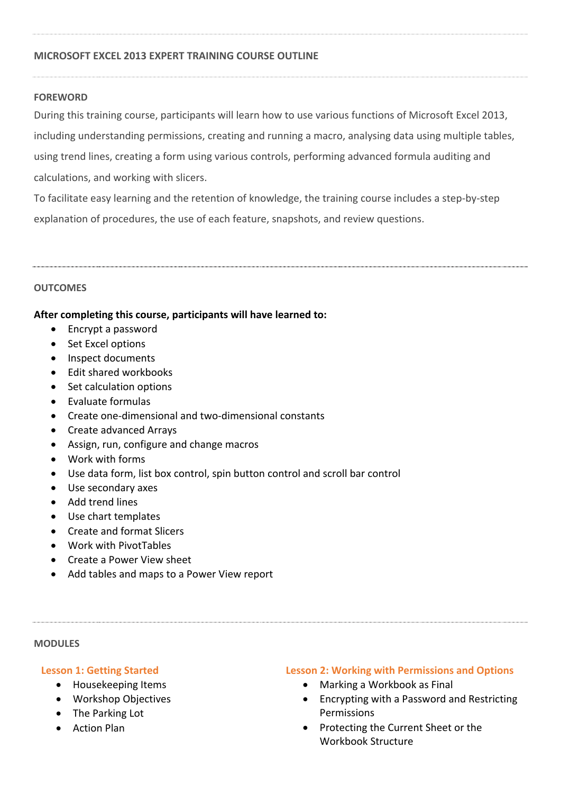# **MICROSOFT EXCEL 2013 EXPERT TRAINING COURSE OUTLINE**

#### **FOREWORD**

During this training course, participants will learn how to use various functions of Microsoft Excel 2013, including understanding permissions, creating and running a macro, analysing data using multiple tables, using trend lines, creating a form using various controls, performing advanced formula auditing and calculations, and working with slicers.

To facilitate easy learning and the retention of knowledge, the training course includes a step-by-step explanation of procedures, the use of each feature, snapshots, and review questions.

#### **OUTCOMES**

# **After completing this course, participants will have learned to:**

- Encrypt a password
- Set Excel options
- Inspect documents
- Edit shared workbooks
- Set calculation options
- Evaluate formulas
- Create one-dimensional and two-dimensional constants
- Create advanced Arrays
- Assign, run, configure and change macros
- Work with forms
- Use data form, list box control, spin button control and scroll bar control
- Use secondary axes
- Add trend lines
- Use chart templates
- Create and format Slicers
- Work with PivotTables
- Create a Power View sheet
- Add tables and maps to a Power View report

#### **MODULES**

# **Lesson 1: Getting Started**

- Housekeeping Items
- Workshop Objectives
- The Parking Lot
- Action Plan

# **Lesson 2: Working with Permissions and Options**

- Marking a Workbook as Final
- Encrypting with a Password and Restricting Permissions
- Protecting the Current Sheet or the Workbook Structure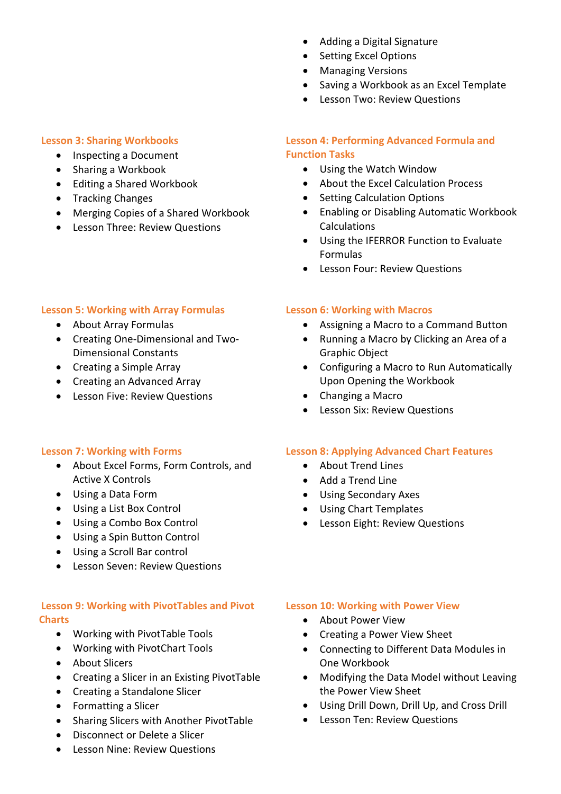- Adding a Digital Signature
- Setting Excel Options
- Managing Versions
- Saving a Workbook as an Excel Template
- **•** Lesson Two: Review Questions

# **Lesson 3: Sharing Workbooks**

- Inspecting a Document
- Sharing a Workbook
- Editing a Shared Workbook
- Tracking Changes
- Merging Copies of a Shared Workbook
- Lesson Three: Review Questions

# **Lesson 5: Working with Array Formulas**

- About Array Formulas
- Creating One-Dimensional and Two-Dimensional Constants
- Creating a Simple Array
- Creating an Advanced Array
- Lesson Five: Review Questions

# **Lesson 7: Working with Forms**

- About Excel Forms, Form Controls, and Active X Controls
- Using a Data Form
- Using a List Box Control
- Using a Combo Box Control
- Using a Spin Button Control
- Using a Scroll Bar control
- Lesson Seven: Review Questions

# **Lesson 9: Working with PivotTables and Pivot Charts**

- Working with PivotTable Tools
- Working with PivotChart Tools
- About Slicers
- Creating a Slicer in an Existing PivotTable
- Creating a Standalone Slicer
- Formatting a Slicer
- Sharing Slicers with Another PivotTable
- Disconnect or Delete a Slicer

# Lesson Nine: Review Questions

# **Lesson 4: Performing Advanced Formula and Function Tasks**

- Using the Watch Window
- About the Excel Calculation Process
- Setting Calculation Options
- Enabling or Disabling Automatic Workbook Calculations
- Using the IFERROR Function to Evaluate Formulas
- Lesson Four: Review Questions

# **Lesson 6: Working with Macros**

- Assigning a Macro to a Command Button
- Running a Macro by Clicking an Area of a Graphic Object
- Configuring a Macro to Run Automatically Upon Opening the Workbook
- Changing a Macro
- Lesson Six: Review Questions

# **Lesson 8: Applying Advanced Chart Features**

- About Trend Lines
- Add a Trend Line
- Using Secondary Axes
- Using Chart Templates
- Lesson Eight: Review Questions

# **Lesson 10: Working with Power View**

- About Power View
- Creating a Power View Sheet
- Connecting to Different Data Modules in One Workbook
- Modifying the Data Model without Leaving the Power View Sheet
- Using Drill Down, Drill Up, and Cross Drill
- **•** Lesson Ten: Review Questions